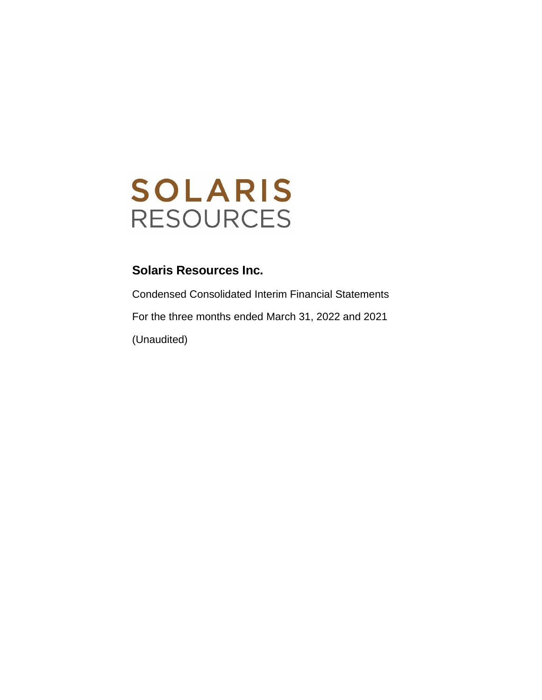

Condensed Consolidated Interim Financial Statements For the three months ended March 31, 2022 and 2021 (Unaudited)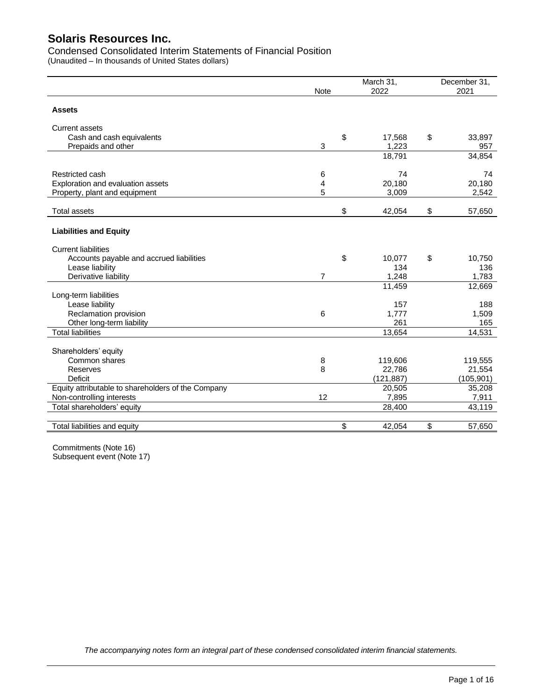Condensed Consolidated Interim Statements of Financial Position

|                                                    | <b>Note</b>    | March 31,<br>2022 | December 31,<br>2021 |
|----------------------------------------------------|----------------|-------------------|----------------------|
| <b>Assets</b>                                      |                |                   |                      |
| <b>Current assets</b>                              |                |                   |                      |
| Cash and cash equivalents                          |                | \$<br>17,568      | \$<br>33,897         |
| Prepaids and other                                 | 3              | 1,223             | 957                  |
|                                                    |                | 18,791            | 34,854               |
| Restricted cash                                    | 6              | 74                | 74                   |
| Exploration and evaluation assets                  | 4              | 20,180            | 20,180               |
| Property, plant and equipment                      | 5              | 3,009             | 2,542                |
| <b>Total assets</b>                                |                | \$<br>42,054      | \$<br>57,650         |
| <b>Liabilities and Equity</b>                      |                |                   |                      |
| <b>Current liabilities</b>                         |                |                   |                      |
| Accounts payable and accrued liabilities           |                | \$<br>10,077      | \$<br>10,750         |
| Lease liability                                    |                | 134               | 136                  |
| Derivative liability                               | $\overline{7}$ | 1,248             | 1,783                |
|                                                    |                | 11,459            | 12,669               |
| Long-term liabilities                              |                |                   |                      |
| Lease liability                                    |                | 157               | 188                  |
| Reclamation provision<br>Other long-term liability | 6              | 1,777<br>261      | 1,509<br>165         |
| <b>Total liabilities</b>                           |                | 13,654            | 14,531               |
|                                                    |                |                   |                      |
| Shareholders' equity                               |                |                   |                      |
| Common shares                                      | 8              | 119,606           | 119,555              |
| Reserves                                           | 8              | 22,786            | 21,554               |
| <b>Deficit</b>                                     |                | (121, 887)        | (105, 901)           |
| Equity attributable to shareholders of the Company |                | 20,505            | 35,208               |
| Non-controlling interests                          | 12             | 7,895             | 7,911                |
| Total shareholders' equity                         |                | 28,400            | 43,119               |
|                                                    |                |                   |                      |
| Total liabilities and equity                       |                | \$<br>42,054      | \$<br>57,650         |

Commitments (Note 16) Subsequent event (Note 17)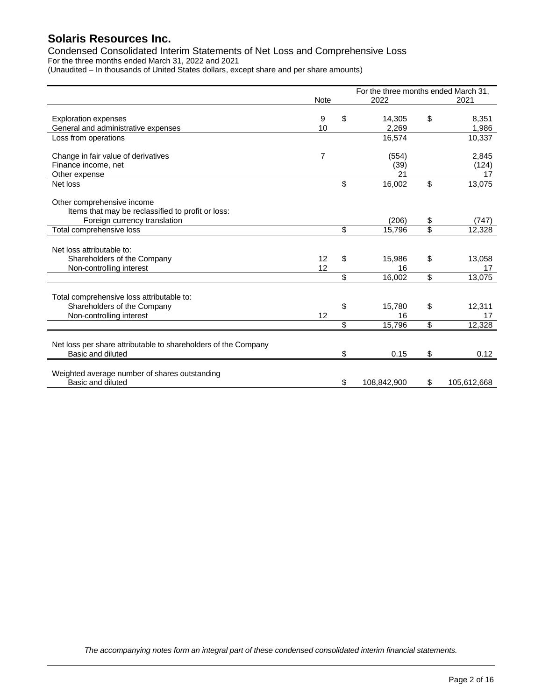Condensed Consolidated Interim Statements of Net Loss and Comprehensive Loss For the three months ended March 31, 2022 and 2021

| (Unaudited - In thousands of United States dollars, except share and per share amounts) |  |
|-----------------------------------------------------------------------------------------|--|
|-----------------------------------------------------------------------------------------|--|

|                                                                |             | For the three months ended March 31, |                   |
|----------------------------------------------------------------|-------------|--------------------------------------|-------------------|
|                                                                | <b>Note</b> | 2022                                 | 2021              |
|                                                                |             |                                      |                   |
| <b>Exploration expenses</b>                                    | 9           | \$<br>14,305                         | \$<br>8,351       |
| General and administrative expenses                            | 10          | 2.269                                | 1,986             |
| Loss from operations                                           |             | 16,574                               | 10,337            |
|                                                                |             |                                      |                   |
| Change in fair value of derivatives                            | 7           | (554)                                | 2,845             |
| Finance income, net                                            |             | (39)                                 | (124)             |
| Other expense                                                  |             | 21                                   | 17                |
| Net loss                                                       |             | \$<br>16,002                         | \$<br>13,075      |
|                                                                |             |                                      |                   |
| Other comprehensive income                                     |             |                                      |                   |
| Items that may be reclassified to profit or loss:              |             |                                      |                   |
| Foreign currency translation                                   |             | (206)                                | \$<br>(747)       |
| Total comprehensive loss                                       |             | \$<br>15,796                         | \$<br>12,328      |
|                                                                |             |                                      |                   |
| Net loss attributable to:                                      |             |                                      |                   |
| Shareholders of the Company                                    | 12          | \$<br>15,986                         | \$<br>13,058      |
| Non-controlling interest                                       | 12          | 16                                   | 17                |
|                                                                |             | \$<br>16,002                         | \$<br>13,075      |
|                                                                |             |                                      |                   |
| Total comprehensive loss attributable to:                      |             |                                      |                   |
| Shareholders of the Company                                    |             | \$<br>15,780                         | \$<br>12,311      |
| Non-controlling interest                                       | 12          | 16                                   | 17                |
|                                                                |             | \$<br>15,796                         | \$<br>12,328      |
|                                                                |             |                                      |                   |
| Net loss per share attributable to shareholders of the Company |             |                                      |                   |
| Basic and diluted                                              |             | \$<br>0.15                           | \$<br>0.12        |
|                                                                |             |                                      |                   |
| Weighted average number of shares outstanding                  |             |                                      |                   |
| Basic and diluted                                              |             | \$<br>108,842,900                    | \$<br>105,612,668 |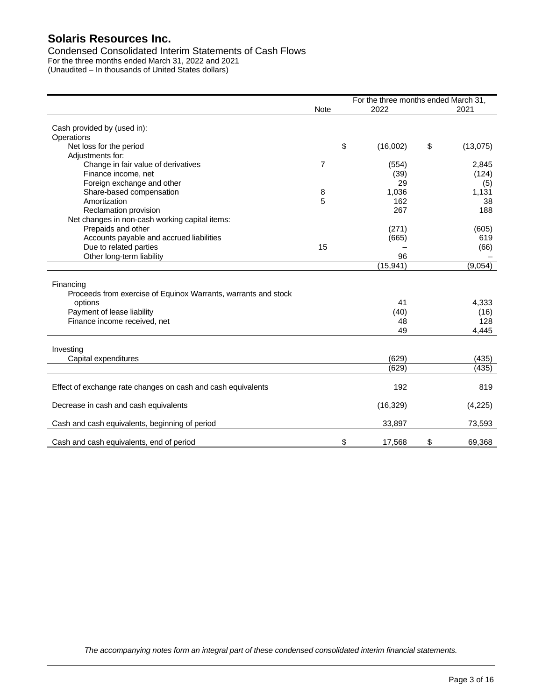Condensed Consolidated Interim Statements of Cash Flows For the three months ended March 31, 2022 and 2021 (Unaudited – In thousands of United States dollars)

|                                                                |                | For the three months ended March 31, |                |
|----------------------------------------------------------------|----------------|--------------------------------------|----------------|
|                                                                | <b>Note</b>    | 2022                                 | 2021           |
| Cash provided by (used in):                                    |                |                                      |                |
| Operations                                                     |                |                                      |                |
| Net loss for the period                                        |                | \$<br>(16,002)                       | \$<br>(13,075) |
| Adjustments for:                                               |                |                                      |                |
| Change in fair value of derivatives                            | $\overline{7}$ | (554)                                | 2,845          |
| Finance income, net                                            |                | (39)                                 | (124)          |
| Foreign exchange and other                                     |                | 29                                   | (5)            |
| Share-based compensation                                       | 8              | 1,036                                | 1,131          |
| Amortization                                                   | 5              | 162                                  | 38             |
| Reclamation provision                                          |                | 267                                  | 188            |
|                                                                |                |                                      |                |
| Net changes in non-cash working capital items:                 |                |                                      |                |
| Prepaids and other                                             |                | (271)                                | (605)          |
| Accounts payable and accrued liabilities                       |                | (665)                                | 619            |
| Due to related parties                                         | 15             |                                      | (66)           |
| Other long-term liability                                      |                | 96                                   |                |
|                                                                |                | (15, 941)                            | (9,054)        |
|                                                                |                |                                      |                |
| Financing                                                      |                |                                      |                |
| Proceeds from exercise of Equinox Warrants, warrants and stock |                |                                      |                |
| options                                                        |                | 41                                   | 4,333          |
| Payment of lease liability                                     |                | (40)                                 | (16)           |
| Finance income received, net                                   |                | 48                                   | 128            |
|                                                                |                | 49                                   | 4,445          |
|                                                                |                |                                      |                |
| Investing                                                      |                |                                      |                |
| Capital expenditures                                           |                | (629)                                | (435)          |
|                                                                |                | (629)                                | (435)          |
|                                                                |                |                                      |                |
| Effect of exchange rate changes on cash and cash equivalents   |                | 192                                  | 819            |
|                                                                |                |                                      |                |
| Decrease in cash and cash equivalents                          |                | (16, 329)                            | (4,225)        |
|                                                                |                |                                      |                |
| Cash and cash equivalents, beginning of period                 |                | 33,897                               | 73,593         |
|                                                                |                |                                      |                |
| Cash and cash equivalents, end of period                       |                | \$<br>17,568                         | \$<br>69,368   |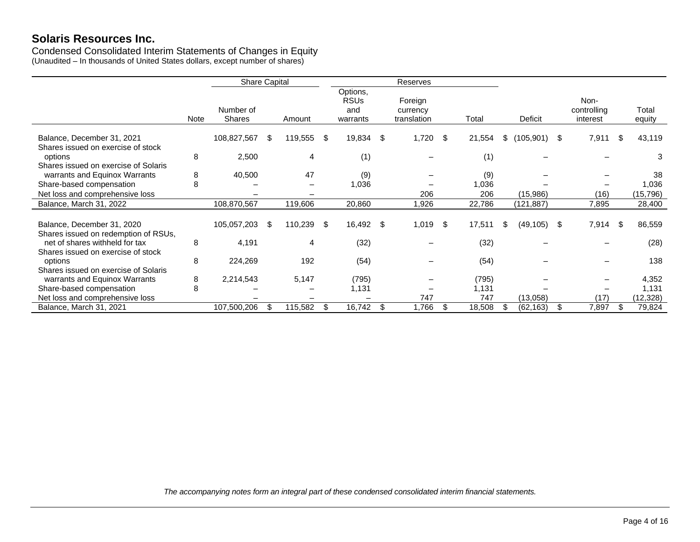Condensed Consolidated Interim Statements of Changes in Equity (Unaudited – In thousands of United States dollars, except number of shares)

|                                                                       |             | <b>Share Capital</b>       |    |         |      | Reserves                                   |    |                                    |    |        |     |            |                                 |     |                 |
|-----------------------------------------------------------------------|-------------|----------------------------|----|---------|------|--------------------------------------------|----|------------------------------------|----|--------|-----|------------|---------------------------------|-----|-----------------|
|                                                                       | <b>Note</b> | Number of<br><b>Shares</b> |    | Amount  |      | Options,<br><b>RSUs</b><br>and<br>warrants |    | Foreign<br>currency<br>translation |    | Total  |     | Deficit    | Non-<br>controlling<br>interest |     | Total<br>equity |
| Balance, December 31, 2021<br>Shares issued on exercise of stock      |             | 108,827,567                | S. | 119,555 | -S   | 19,834                                     | S  | 1,720                              | \$ | 21,554 | S.  | (105, 901) | \$<br>7,911                     | S   | 43,119          |
| options                                                               | 8           | 2,500                      |    | 4       |      | (1)                                        |    |                                    |    | (1)    |     |            |                                 |     | 3               |
| Shares issued on exercise of Solaris<br>warrants and Equinox Warrants | 8           | 40,500                     |    | 47      |      | (9)                                        |    |                                    |    | (9)    |     |            |                                 |     | 38              |
| Share-based compensation                                              | 8           |                            |    |         |      | 1,036                                      |    |                                    |    | 1,036  |     |            |                                 |     | 1,036           |
| Net loss and comprehensive loss                                       |             |                            |    |         |      |                                            |    | 206                                |    | 206    |     | (15,986)   | (16)                            |     | (15, 796)       |
| Balance, March 31, 2022                                               |             | 108,870,567                |    | 119,606 |      | 20,860                                     |    | 1,926                              |    | 22,786 |     | (121, 887) | 7,895                           |     | 28,400          |
| Balance, December 31, 2020<br>Shares issued on redemption of RSUs,    |             | 105,057,203                | S. | 110,239 | - \$ | 16,492                                     | \$ | 1,019                              | \$ | 17,511 | \$. | (49, 105)  | \$<br>7,914                     | \$. | 86,559          |
| net of shares withheld for tax                                        | 8           | 4,191                      |    | 4       |      | (32)                                       |    |                                    |    | (32)   |     |            |                                 |     | (28)            |
| Shares issued on exercise of stock<br>options                         | 8           | 224,269                    |    | 192     |      | (54)                                       |    |                                    |    | (54)   |     |            |                                 |     | 138             |
| Shares issued on exercise of Solaris<br>warrants and Equinox Warrants | 8           | 2,214,543                  |    | 5,147   |      | (795)                                      |    |                                    |    | (795)  |     |            |                                 |     | 4,352           |
| Share-based compensation                                              | 8           |                            |    |         |      | 1,131                                      |    |                                    |    | 1,131  |     |            |                                 |     | 1,131           |
| Net loss and comprehensive loss                                       |             |                            |    |         |      |                                            |    | 747                                |    | 747    |     | (13,058)   | (17)                            |     | (12, 328)       |
| Balance, March 31, 2021                                               |             | 107,500,206                |    | 115,582 | \$   | 16,742                                     | \$ | 1,766                              | \$ | 18,508 |     | (62, 163)  | \$<br>7,897                     | S   | 79,824          |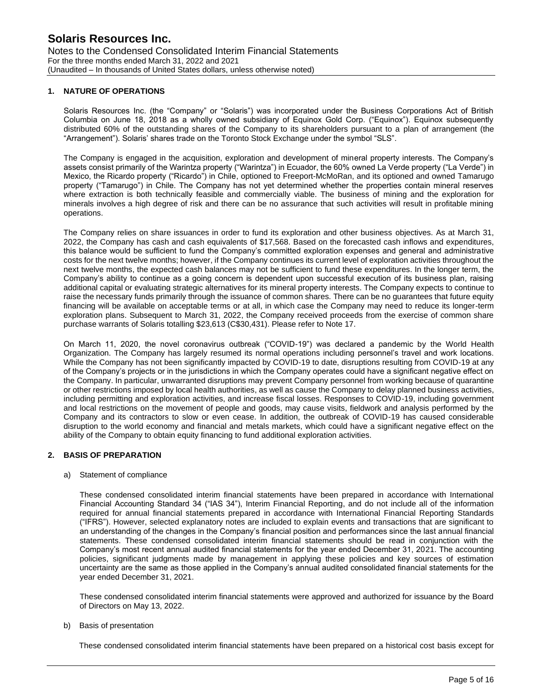### **1. NATURE OF OPERATIONS**

Solaris Resources Inc. (the "Company" or "Solaris") was incorporated under the Business Corporations Act of British Columbia on June 18, 2018 as a wholly owned subsidiary of Equinox Gold Corp. ("Equinox"). Equinox subsequently distributed 60% of the outstanding shares of the Company to its shareholders pursuant to a plan of arrangement (the "Arrangement"). Solaris' shares trade on the Toronto Stock Exchange under the symbol "SLS".

The Company is engaged in the acquisition, exploration and development of mineral property interests. The Company's assets consist primarily of the Warintza property ("Warintza") in Ecuador, the 60% owned La Verde property ("La Verde") in Mexico, the Ricardo property ("Ricardo") in Chile, optioned to Freeport-McMoRan, and its optioned and owned Tamarugo property ("Tamarugo") in Chile. The Company has not yet determined whether the properties contain mineral reserves where extraction is both technically feasible and commercially viable. The business of mining and the exploration for minerals involves a high degree of risk and there can be no assurance that such activities will result in profitable mining operations.

The Company relies on share issuances in order to fund its exploration and other business objectives. As at March 31, 2022, the Company has cash and cash equivalents of \$17,568. Based on the forecasted cash inflows and expenditures, this balance would be sufficient to fund the Company's committed exploration expenses and general and administrative costs for the next twelve months; however, if the Company continues its current level of exploration activities throughout the next twelve months, the expected cash balances may not be sufficient to fund these expenditures. In the longer term, the Company's ability to continue as a going concern is dependent upon successful execution of its business plan, raising additional capital or evaluating strategic alternatives for its mineral property interests. The Company expects to continue to raise the necessary funds primarily through the issuance of common shares. There can be no guarantees that future equity financing will be available on acceptable terms or at all, in which case the Company may need to reduce its longer-term exploration plans. Subsequent to March 31, 2022, the Company received proceeds from the exercise of common share purchase warrants of Solaris totalling \$23,613 (C\$30,431). Please refer to Note 17.

On March 11, 2020, the novel coronavirus outbreak ("COVID-19") was declared a pandemic by the World Health Organization. The Company has largely resumed its normal operations including personnel's travel and work locations. While the Company has not been significantly impacted by COVID-19 to date, disruptions resulting from COVID-19 at any of the Company's projects or in the jurisdictions in which the Company operates could have a significant negative effect on the Company. In particular, unwarranted disruptions may prevent Company personnel from working because of quarantine or other restrictions imposed by local health authorities, as well as cause the Company to delay planned business activities, including permitting and exploration activities, and increase fiscal losses. Responses to COVID-19, including government and local restrictions on the movement of people and goods, may cause visits, fieldwork and analysis performed by the Company and its contractors to slow or even cease. In addition, the outbreak of COVID-19 has caused considerable disruption to the world economy and financial and metals markets, which could have a significant negative effect on the ability of the Company to obtain equity financing to fund additional exploration activities.

#### **2. BASIS OF PREPARATION**

#### a) Statement of compliance

These condensed consolidated interim financial statements have been prepared in accordance with International Financial Accounting Standard 34 ("IAS 34"), Interim Financial Reporting, and do not include all of the information required for annual financial statements prepared in accordance with International Financial Reporting Standards ("IFRS"). However, selected explanatory notes are included to explain events and transactions that are significant to an understanding of the changes in the Company's financial position and performances since the last annual financial statements. These condensed consolidated interim financial statements should be read in conjunction with the Company's most recent annual audited financial statements for the year ended December 31, 2021. The accounting policies, significant judgments made by management in applying these policies and key sources of estimation uncertainty are the same as those applied in the Company's annual audited consolidated financial statements for the year ended December 31, 2021.

These condensed consolidated interim financial statements were approved and authorized for issuance by the Board of Directors on May 13, 2022.

### b) Basis of presentation

These condensed consolidated interim financial statements have been prepared on a historical cost basis except for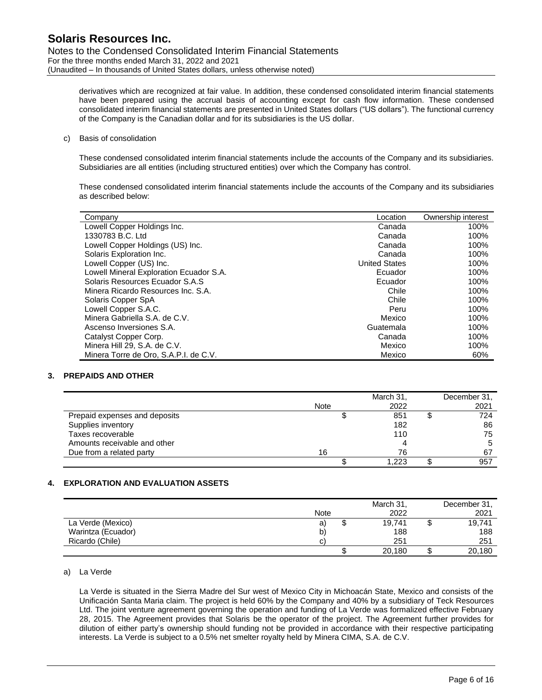derivatives which are recognized at fair value. In addition, these condensed consolidated interim financial statements have been prepared using the accrual basis of accounting except for cash flow information. These condensed consolidated interim financial statements are presented in United States dollars ("US dollars"). The functional currency of the Company is the Canadian dollar and for its subsidiaries is the US dollar.

### c) Basis of consolidation

These condensed consolidated interim financial statements include the accounts of the Company and its subsidiaries. Subsidiaries are all entities (including structured entities) over which the Company has control.

These condensed consolidated interim financial statements include the accounts of the Company and its subsidiaries as described below:

| Company                                 | Location             | Ownership interest |
|-----------------------------------------|----------------------|--------------------|
| Lowell Copper Holdings Inc.             | Canada               | 100%               |
| 1330783 B.C. Ltd                        | Canada               | 100%               |
| Lowell Copper Holdings (US) Inc.        | Canada               | 100%               |
| Solaris Exploration Inc.                | Canada               | 100%               |
| Lowell Copper (US) Inc.                 | <b>United States</b> | 100%               |
| Lowell Mineral Exploration Ecuador S.A. | Ecuador              | 100%               |
| Solaris Resources Ecuador S.A.S         | Ecuador              | 100%               |
| Minera Ricardo Resources Inc. S.A.      | Chile                | 100%               |
| Solaris Copper SpA                      | Chile                | 100%               |
| Lowell Copper S.A.C.                    | Peru                 | 100%               |
| Minera Gabriella S.A. de C.V.           | Mexico               | 100%               |
| Ascenso Inversiones S.A.                | Guatemala            | 100%               |
| Catalyst Copper Corp.                   | Canada               | 100%               |
| Minera Hill 29, S.A. de C.V.            | Mexico               | 100%               |
| Minera Torre de Oro, S.A.P.I. de C.V.   | Mexico               | 60%                |

### **3. PREPAIDS AND OTHER**

|                               |             | March 31, | December 31. |
|-------------------------------|-------------|-----------|--------------|
|                               | <b>Note</b> | 2022      | 2021         |
| Prepaid expenses and deposits |             | 851       | 724          |
| Supplies inventory            |             | 182       | 86           |
| Taxes recoverable             |             | 110       | 75           |
| Amounts receivable and other  |             |           |              |
| Due from a related party      | 16          | 76        | 67           |
|                               |             | 1.223     | 957          |

### **4. EXPLORATION AND EVALUATION ASSETS**

|                    |      |   | March 31, | December 31, |
|--------------------|------|---|-----------|--------------|
|                    | Note |   | 2022      | 2021         |
| La Verde (Mexico)  | a)   | Φ | 19,741    | 19,741       |
| Warintza (Ecuador) | b)   |   | 188       | 188          |
| Ricardo (Chile)    | с    |   | 251       | 251          |
|                    |      | S | 20,180    | 20,180       |

### a) La Verde

La Verde is situated in the Sierra Madre del Sur west of Mexico City in Michoacán State, Mexico and consists of the Unificación Santa Maria claim. The project is held 60% by the Company and 40% by a subsidiary of Teck Resources Ltd. The joint venture agreement governing the operation and funding of La Verde was formalized effective February 28, 2015. The Agreement provides that Solaris be the operator of the project. The Agreement further provides for dilution of either party's ownership should funding not be provided in accordance with their respective participating interests. La Verde is subject to a 0.5% net smelter royalty held by Minera CIMA, S.A. de C.V.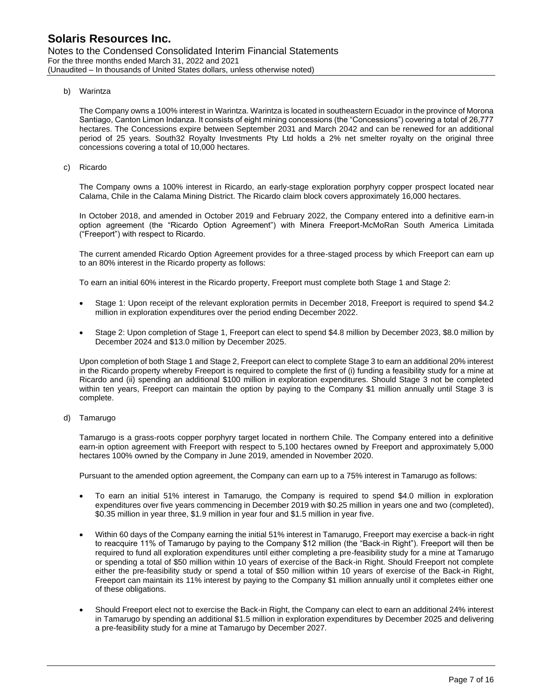### b) Warintza

The Company owns a 100% interest in Warintza. Warintza is located in southeastern Ecuador in the province of Morona Santiago, Canton Limon Indanza. It consists of eight mining concessions (the "Concessions") covering a total of 26,777 hectares. The Concessions expire between September 2031 and March 2042 and can be renewed for an additional period of 25 years. South32 Royalty Investments Pty Ltd holds a 2% net smelter royalty on the original three concessions covering a total of 10,000 hectares.

c) Ricardo

The Company owns a 100% interest in Ricardo, an early-stage exploration porphyry copper prospect located near Calama, Chile in the Calama Mining District. The Ricardo claim block covers approximately 16,000 hectares.

In October 2018, and amended in October 2019 and February 2022, the Company entered into a definitive earn-in option agreement (the "Ricardo Option Agreement") with Minera Freeport-McMoRan South America Limitada ("Freeport") with respect to Ricardo.

The current amended Ricardo Option Agreement provides for a three-staged process by which Freeport can earn up to an 80% interest in the Ricardo property as follows:

To earn an initial 60% interest in the Ricardo property, Freeport must complete both Stage 1 and Stage 2:

- Stage 1: Upon receipt of the relevant exploration permits in December 2018, Freeport is required to spend \$4.2 million in exploration expenditures over the period ending December 2022.
- Stage 2: Upon completion of Stage 1, Freeport can elect to spend \$4.8 million by December 2023, \$8.0 million by December 2024 and \$13.0 million by December 2025.

Upon completion of both Stage 1 and Stage 2, Freeport can elect to complete Stage 3 to earn an additional 20% interest in the Ricardo property whereby Freeport is required to complete the first of (i) funding a feasibility study for a mine at Ricardo and (ii) spending an additional \$100 million in exploration expenditures. Should Stage 3 not be completed within ten years, Freeport can maintain the option by paying to the Company \$1 million annually until Stage 3 is complete.

### d) Tamarugo

Tamarugo is a grass-roots copper porphyry target located in northern Chile. The Company entered into a definitive earn-in option agreement with Freeport with respect to 5,100 hectares owned by Freeport and approximately 5,000 hectares 100% owned by the Company in June 2019, amended in November 2020.

Pursuant to the amended option agreement, the Company can earn up to a 75% interest in Tamarugo as follows:

- To earn an initial 51% interest in Tamarugo, the Company is required to spend \$4.0 million in exploration expenditures over five years commencing in December 2019 with \$0.25 million in years one and two (completed), \$0.35 million in year three, \$1.9 million in year four and \$1.5 million in year five.
- Within 60 days of the Company earning the initial 51% interest in Tamarugo, Freeport may exercise a back-in right to reacquire 11% of Tamarugo by paying to the Company \$12 million (the "Back-in Right"). Freeport will then be required to fund all exploration expenditures until either completing a pre-feasibility study for a mine at Tamarugo or spending a total of \$50 million within 10 years of exercise of the Back-in Right. Should Freeport not complete either the pre-feasibility study or spend a total of \$50 million within 10 years of exercise of the Back-in Right, Freeport can maintain its 11% interest by paying to the Company \$1 million annually until it completes either one of these obligations.
- Should Freeport elect not to exercise the Back-in Right, the Company can elect to earn an additional 24% interest in Tamarugo by spending an additional \$1.5 million in exploration expenditures by December 2025 and delivering a pre-feasibility study for a mine at Tamarugo by December 2027.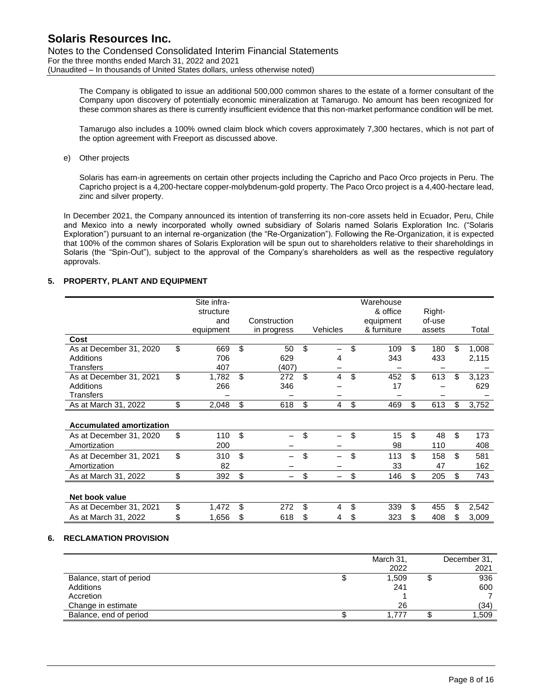The Company is obligated to issue an additional 500,000 common shares to the estate of a former consultant of the Company upon discovery of potentially economic mineralization at Tamarugo. No amount has been recognized for these common shares as there is currently insufficient evidence that this non-market performance condition will be met.

Tamarugo also includes a 100% owned claim block which covers approximately 7,300 hectares, which is not part of the option agreement with Freeport as discussed above.

e) Other projects

Solaris has earn-in agreements on certain other projects including the Capricho and Paco Orco projects in Peru. The Capricho project is a 4,200-hectare copper-molybdenum-gold property. The Paco Orco project is a 4,400-hectare lead, zinc and silver property.

In December 2021, the Company announced its intention of transferring its non-core assets held in Ecuador, Peru, Chile and Mexico into a newly incorporated wholly owned subsidiary of Solaris named Solaris Exploration Inc. ("Solaris Exploration") pursuant to an internal re-organization (the "Re-Organization"). Following the Re-Organization, it is expected that 100% of the common shares of Solaris Exploration will be spun out to shareholders relative to their shareholdings in Solaris (the "Spin-Out"), subject to the approval of the Company's shareholders as well as the respective regulatory approvals.

# **5. PROPERTY, PLANT AND EQUIPMENT**

|                                 | Site infra-<br>structure |     |              |          | Warehouse<br>& office | Right-    |     |       |
|---------------------------------|--------------------------|-----|--------------|----------|-----------------------|-----------|-----|-------|
|                                 | and                      |     | Construction |          | equipment             | of-use    |     |       |
|                                 | equipment                |     | in progress  | Vehicles | & furniture           | assets    |     | Total |
| Cost                            |                          |     |              |          |                       |           |     |       |
| As at December 31, 2020         | \$<br>669                | \$  | 50           | \$       | \$<br>109             | \$<br>180 | \$. | 1,008 |
| Additions                       | 706                      |     | 629          | 4        | 343                   | 433       |     | 2,115 |
| <b>Transfers</b>                | 407                      |     | (407)        |          |                       |           |     |       |
| As at December 31, 2021         | \$<br>1,782              | \$. | 272          | \$<br>4  | \$<br>452             | \$<br>613 | \$  | 3,123 |
| Additions                       | 266                      |     | 346          |          | 17                    |           |     | 629   |
| <b>Transfers</b>                |                          |     |              |          |                       |           |     |       |
| As at March 31, 2022            | \$<br>2,048              | \$  | 618          | \$<br>4  | \$<br>469             | \$<br>613 | \$  | 3,752 |
|                                 |                          |     |              |          |                       |           |     |       |
| <b>Accumulated amortization</b> |                          |     |              |          |                       |           |     |       |
| As at December 31, 2020         | \$<br>110                | \$  |              | \$       | \$<br>15              | \$<br>48  | \$  | 173   |
| Amortization                    | 200                      |     |              |          | 98                    | 110       |     | 408   |
| As at December 31, 2021         | \$<br>310                | \$. |              | \$       | \$<br>113             | \$<br>158 | \$  | 581   |
| Amortization                    | 82                       |     |              |          | 33                    | 47        |     | 162   |
| As at March 31, 2022            | \$<br>392                | \$  |              | \$       | \$<br>146             | \$<br>205 | \$  | 743   |
|                                 |                          |     |              |          |                       |           |     |       |
| Net book value                  |                          |     |              |          |                       |           |     |       |
| As at December 31, 2021         | \$<br>1,472              | \$  | 272          | \$<br>4  | \$<br>339             | \$<br>455 | \$  | 2,542 |
| As at March 31, 2022            | 1,656                    | S   | 618          | \$<br>4  | \$<br>323             | \$<br>408 | \$  | 3,009 |

### **6. RECLAMATION PROVISION**

|                          |   | March 31, | December 31, |
|--------------------------|---|-----------|--------------|
|                          |   | 2022      | 2021         |
| Balance, start of period | Ψ | 1,509     | 936          |
| Additions                |   | 241       | 600          |
| Accretion                |   |           |              |
| Change in estimate       |   | 26        | (34)         |
| Balance, end of period   |   | 1.777     | 1,509        |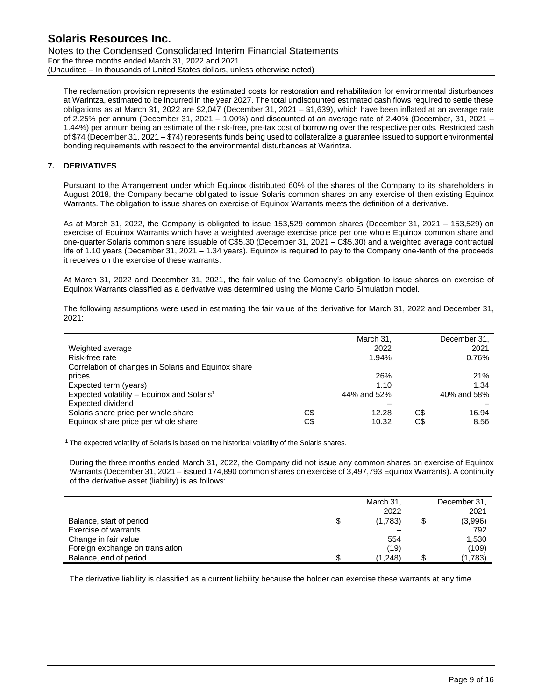Notes to the Condensed Consolidated Interim Financial Statements For the three months ended March 31, 2022 and 2021 (Unaudited – In thousands of United States dollars, unless otherwise noted)

The reclamation provision represents the estimated costs for restoration and rehabilitation for environmental disturbances at Warintza, estimated to be incurred in the year 2027. The total undiscounted estimated cash flows required to settle these obligations as at March 31, 2022 are \$2,047 (December 31, 2021 – \$1,639), which have been inflated at an average rate of 2.25% per annum (December 31, 2021 – 1.00%) and discounted at an average rate of 2.40% (December, 31, 2021 – 1.44%) per annum being an estimate of the risk-free, pre-tax cost of borrowing over the respective periods. Restricted cash of \$74 (December 31, 2021 – \$74) represents funds being used to collateralize a guarantee issued to support environmental bonding requirements with respect to the environmental disturbances at Warintza.

# **7. DERIVATIVES**

Pursuant to the Arrangement under which Equinox distributed 60% of the shares of the Company to its shareholders in August 2018, the Company became obligated to issue Solaris common shares on any exercise of then existing Equinox Warrants. The obligation to issue shares on exercise of Equinox Warrants meets the definition of a derivative.

As at March 31, 2022, the Company is obligated to issue 153,529 common shares (December 31, 2021 – 153,529) on exercise of Equinox Warrants which have a weighted average exercise price per one whole Equinox common share and one-quarter Solaris common share issuable of C\$5.30 (December 31, 2021 – C\$5.30) and a weighted average contractual life of 1.10 years (December 31, 2021 – 1.34 years). Equinox is required to pay to the Company one-tenth of the proceeds it receives on the exercise of these warrants.

At March 31, 2022 and December 31, 2021, the fair value of the Company's obligation to issue shares on exercise of Equinox Warrants classified as a derivative was determined using the Monte Carlo Simulation model.

The following assumptions were used in estimating the fair value of the derivative for March 31, 2022 and December 31, 2021:

|                                                        |     | March 31,   |     | December 31, |
|--------------------------------------------------------|-----|-------------|-----|--------------|
| Weighted average                                       |     | 2022        |     | 2021         |
| Risk-free rate                                         |     | 1.94%       |     | 0.76%        |
| Correlation of changes in Solaris and Equinox share    |     |             |     |              |
| prices                                                 |     | 26%         |     | 21%          |
| Expected term (years)                                  |     | 1.10        |     | 1.34         |
| Expected volatility - Equinox and Solaris <sup>1</sup> |     | 44% and 52% |     | 40% and 58%  |
| Expected dividend                                      |     |             |     |              |
| Solaris share price per whole share                    | C\$ | 12.28       | C\$ | 16.94        |
| Equinox share price per whole share                    | C\$ | 10.32       | C\$ | 8.56         |

 $1$  The expected volatility of Solaris is based on the historical volatility of the Solaris shares.

During the three months ended March 31, 2022, the Company did not issue any common shares on exercise of Equinox Warrants (December 31, 2021 – issued 174,890 common shares on exercise of 3,497,793 Equinox Warrants). A continuity of the derivative asset (liability) is as follows:

|                                 |   | March 31, | December 31, |
|---------------------------------|---|-----------|--------------|
|                                 |   | 2022      | 2021         |
| Balance, start of period        | ง | (1,783)   | (3,996)      |
| Exercise of warrants            |   |           | 792          |
| Change in fair value            |   | 554       | 1,530        |
| Foreign exchange on translation |   | (19)      | (109)        |
| Balance, end of period          |   | (1,248)   | (1,783)      |

The derivative liability is classified as a current liability because the holder can exercise these warrants at any time.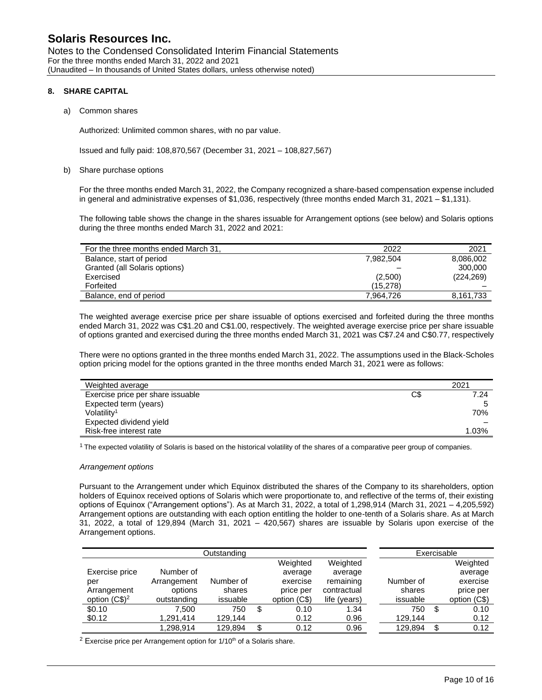Notes to the Condensed Consolidated Interim Financial Statements For the three months ended March 31, 2022 and 2021 (Unaudited – In thousands of United States dollars, unless otherwise noted)

### **8. SHARE CAPITAL**

### a) Common shares

Authorized: Unlimited common shares, with no par value.

Issued and fully paid: 108,870,567 (December 31, 2021 – 108,827,567)

#### b) Share purchase options

For the three months ended March 31, 2022, the Company recognized a share-based compensation expense included in general and administrative expenses of \$1,036, respectively (three months ended March 31, 2021 – \$1,131).

The following table shows the change in the shares issuable for Arrangement options (see below) and Solaris options during the three months ended March 31, 2022 and 2021:

| For the three months ended March 31, | 2022      | 2021       |
|--------------------------------------|-----------|------------|
| Balance, start of period             | 7.982.504 | 8,086,002  |
| Granted (all Solaris options)        |           | 300,000    |
| Exercised                            | (2,500)   | (224, 269) |
| Forfeited                            | (15, 278) |            |
| Balance, end of period               | 7.964.726 | 8,161,733  |

The weighted average exercise price per share issuable of options exercised and forfeited during the three months ended March 31, 2022 was C\$1.20 and C\$1.00, respectively. The weighted average exercise price per share issuable of options granted and exercised during the three months ended March 31, 2021 was C\$7.24 and C\$0.77, respectively

There were no options granted in the three months ended March 31, 2022. The assumptions used in the Black-Scholes option pricing model for the options granted in the three months ended March 31, 2021 were as follows:

| Weighted average                  |     | 2021  |
|-----------------------------------|-----|-------|
| Exercise price per share issuable | C\$ | 7.24  |
| Expected term (years)             |     |       |
| Volatility <sup>1</sup>           |     | 70%   |
| Expected dividend yield           |     |       |
| Risk-free interest rate           |     | 1.03% |

 $1$  The expected volatility of Solaris is based on the historical volatility of the shares of a comparative peer group of companies.

#### *Arrangement options*

Pursuant to the Arrangement under which Equinox distributed the shares of the Company to its shareholders, option holders of Equinox received options of Solaris which were proportionate to, and reflective of the terms of, their existing options of Equinox ("Arrangement options"). As at March 31, 2022, a total of 1,298,914 (March 31, 2021 – 4,205,592) Arrangement options are outstanding with each option entitling the holder to one-tenth of a Solaris share. As at March 31, 2022, a total of 129,894 (March 31, 2021 – 420,567) shares are issuable by Solaris upon exercise of the Arrangement options.

|                 |             | Outstanding |              |              |           |    | Exercisable  |
|-----------------|-------------|-------------|--------------|--------------|-----------|----|--------------|
|                 |             |             | Weighted     | Weighted     |           |    | Weighted     |
| Exercise price  | Number of   |             | average      | average      |           |    | average      |
| per             | Arrangement | Number of   | exercise     | remaining    | Number of |    | exercise     |
| Arrangement     | options     | shares      | price per    | contractual  | shares    |    | price per    |
| option $(C$)^2$ | outstanding | issuable    | option (C\$) | life (years) | issuable  |    | option (C\$) |
| \$0.10          | 7.500       | 750         | \$<br>0.10   | 1.34         | 750       | S  | 0.10         |
| \$0.12          | 1,291,414   | 129,144     | 0.12         | 0.96         | 129.144   |    | 0.12         |
|                 | 1.298.914   | 129.894     | \$<br>0.12   | 0.96         | 129.894   | \$ | 0.12         |

 $2$  Exercise price per Arrangement option for  $1/10<sup>th</sup>$  of a Solaris share.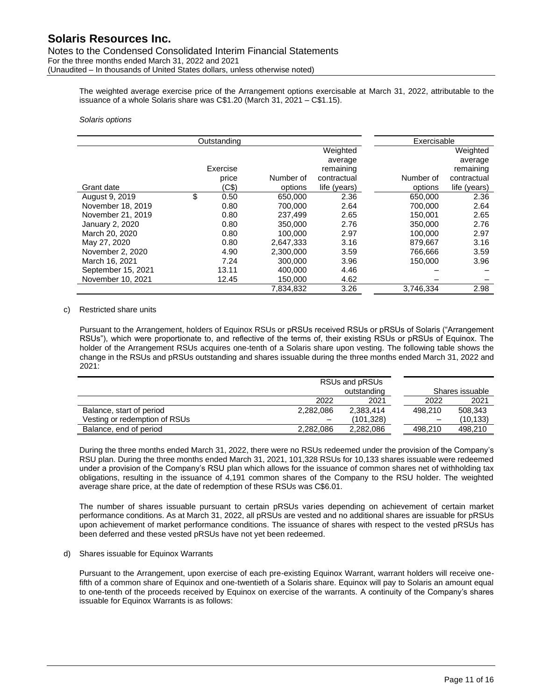The weighted average exercise price of the Arrangement options exercisable at March 31, 2022, attributable to the issuance of a whole Solaris share was C\$1.20 (March 31, 2021 – C\$1.15).

### *Solaris options*

|                    | Outstanding |           |              | Exercisable |              |
|--------------------|-------------|-----------|--------------|-------------|--------------|
|                    |             |           | Weighted     |             | Weighted     |
|                    |             |           | average      |             | average      |
|                    | Exercise    |           | remaining    |             | remaining    |
|                    | price       | Number of | contractual  | Number of   | contractual  |
| Grant date         | (C\$)       | options   | life (years) | options     | life (years) |
| August 9, 2019     | \$<br>0.50  | 650,000   | 2.36         | 650,000     | 2.36         |
| November 18, 2019  | 0.80        | 700.000   | 2.64         | 700.000     | 2.64         |
| November 21, 2019  | 0.80        | 237.499   | 2.65         | 150.001     | 2.65         |
| January 2, 2020    | 0.80        | 350,000   | 2.76         | 350,000     | 2.76         |
| March 20, 2020     | 0.80        | 100.000   | 2.97         | 100.000     | 2.97         |
| May 27, 2020       | 0.80        | 2,647,333 | 3.16         | 879,667     | 3.16         |
| November 2, 2020   | 4.90        | 2,300,000 | 3.59         | 766.666     | 3.59         |
| March 16, 2021     | 7.24        | 300,000   | 3.96         | 150,000     | 3.96         |
| September 15, 2021 | 13.11       | 400.000   | 4.46         |             |              |
| November 10, 2021  | 12.45       | 150,000   | 4.62         |             |              |
|                    |             | 7,834,832 | 3.26         | 3,746,334   | 2.98         |

### c) Restricted share units

Pursuant to the Arrangement, holders of Equinox RSUs or pRSUs received RSUs or pRSUs of Solaris ("Arrangement RSUs"), which were proportionate to, and reflective of the terms of, their existing RSUs or pRSUs of Equinox. The holder of the Arrangement RSUs acquires one-tenth of a Solaris share upon vesting. The following table shows the change in the RSUs and pRSUs outstanding and shares issuable during the three months ended March 31, 2022 and 2021:

|                               |           | RSUs and pRSUs |                          |                 |
|-------------------------------|-----------|----------------|--------------------------|-----------------|
|                               |           | outstanding    |                          | Shares issuable |
|                               | 2022      | 2021           | 2022                     | 2021            |
| Balance, start of period      | 2.282.086 | 2.383.414      | 498.210                  | 508.343         |
| Vesting or redemption of RSUs |           | (101,328)      | $\overline{\phantom{0}}$ | (10, 133)       |
| Balance, end of period        | 2.282.086 | 2,282,086      | 498.210                  | 498.210         |

During the three months ended March 31, 2022, there were no RSUs redeemed under the provision of the Company's RSU plan. During the three months ended March 31, 2021, 101,328 RSUs for 10,133 shares issuable were redeemed under a provision of the Company's RSU plan which allows for the issuance of common shares net of withholding tax obligations, resulting in the issuance of 4,191 common shares of the Company to the RSU holder. The weighted average share price, at the date of redemption of these RSUs was C\$6.01.

The number of shares issuable pursuant to certain pRSUs varies depending on achievement of certain market performance conditions. As at March 31, 2022, all pRSUs are vested and no additional shares are issuable for pRSUs upon achievement of market performance conditions. The issuance of shares with respect to the vested pRSUs has been deferred and these vested pRSUs have not yet been redeemed.

### d) Shares issuable for Equinox Warrants

Pursuant to the Arrangement, upon exercise of each pre-existing Equinox Warrant, warrant holders will receive onefifth of a common share of Equinox and one-twentieth of a Solaris share. Equinox will pay to Solaris an amount equal to one-tenth of the proceeds received by Equinox on exercise of the warrants. A continuity of the Company's shares issuable for Equinox Warrants is as follows: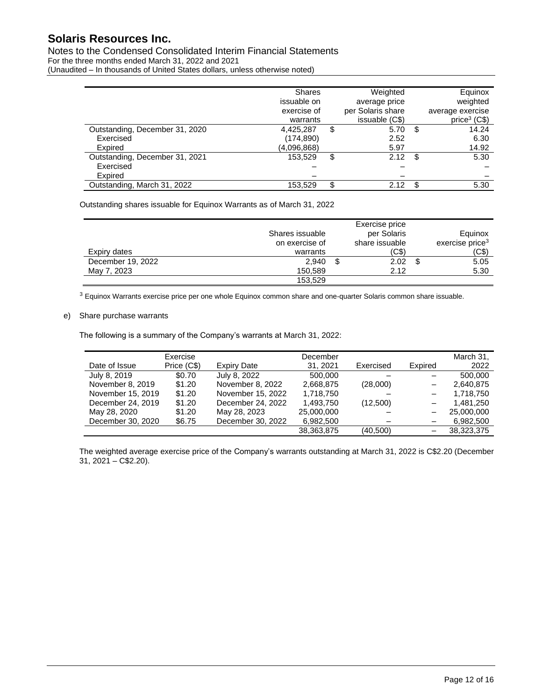# Notes to the Condensed Consolidated Interim Financial Statements For the three months ended March 31, 2022 and 2021

(Unaudited – In thousands of United States dollars, unless otherwise noted)

|                                | <b>Shares</b><br>issuable on<br>exercise of<br>warrants | Weighted<br>average price<br>per Solaris share<br>issuable (C\$) |    | Equinox<br>weighted<br>average exercise<br>price <sup>3</sup> (C\$) |
|--------------------------------|---------------------------------------------------------|------------------------------------------------------------------|----|---------------------------------------------------------------------|
| Outstanding, December 31, 2020 | 4,425,287                                               | \$<br>5.70                                                       | \$ | 14.24                                                               |
| Exercised                      | (174, 890)                                              | 2.52                                                             |    | 6.30                                                                |
| Expired                        | (4,096,868)                                             | 5.97                                                             |    | 14.92                                                               |
| Outstanding, December 31, 2021 | 153.529                                                 | \$<br>2.12                                                       | S. | 5.30                                                                |
| Exercised                      |                                                         |                                                                  |    |                                                                     |
| Expired                        |                                                         |                                                                  |    |                                                                     |
| Outstanding, March 31, 2022    | 153,529                                                 | \$<br>2.12                                                       |    | 5.30                                                                |

Outstanding shares issuable for Equinox Warrants as of March 31, 2022

|                   |                 | Exercise price |                             |
|-------------------|-----------------|----------------|-----------------------------|
|                   | Shares issuable | per Solaris    | Equinox                     |
|                   | on exercise of  | share issuable | exercise price <sup>3</sup> |
| Expiry dates      | warrants        | (C\$)          | (C\$)                       |
| December 19, 2022 | 2.940           | 2.02           | 5.05                        |
| May 7, 2023       | 150.589         | 2.12           | 5.30                        |
|                   | 153,529         |                |                             |

<sup>3</sup> Equinox Warrants exercise price per one whole Equinox common share and one-quarter Solaris common share issuable.

## e) Share purchase warrants

The following is a summary of the Company's warrants at March 31, 2022:

|                   | Exercise    |                    | December   |           |                          | March 31,  |
|-------------------|-------------|--------------------|------------|-----------|--------------------------|------------|
| Date of Issue     | Price (C\$) | <b>Expiry Date</b> | 31, 2021   | Exercised | Expired                  | 2022       |
| July 8, 2019      | \$0.70      | July 8, 2022       | 500,000    |           |                          | 500.000    |
| November 8, 2019  | \$1.20      | November 8, 2022   | 2.668.875  | (28,000)  | $\overline{\phantom{m}}$ | 2,640,875  |
| November 15, 2019 | \$1.20      | November 15, 2022  | 1,718,750  |           |                          | 1,718,750  |
| December 24, 2019 | \$1.20      | December 24, 2022  | 1,493,750  | (12,500)  |                          | 1.481.250  |
| May 28, 2020      | \$1.20      | May 28, 2023       | 25,000,000 |           |                          | 25,000,000 |
| December 30, 2020 | \$6.75      | December 30, 2022  | 6,982,500  |           |                          | 6,982,500  |
|                   |             |                    | 38,363,875 | (40.500)  | $\qquad \qquad -$        | 38.323.375 |

The weighted average exercise price of the Company's warrants outstanding at March 31, 2022 is C\$2.20 (December  $31, 2021 - C$2.20$ ).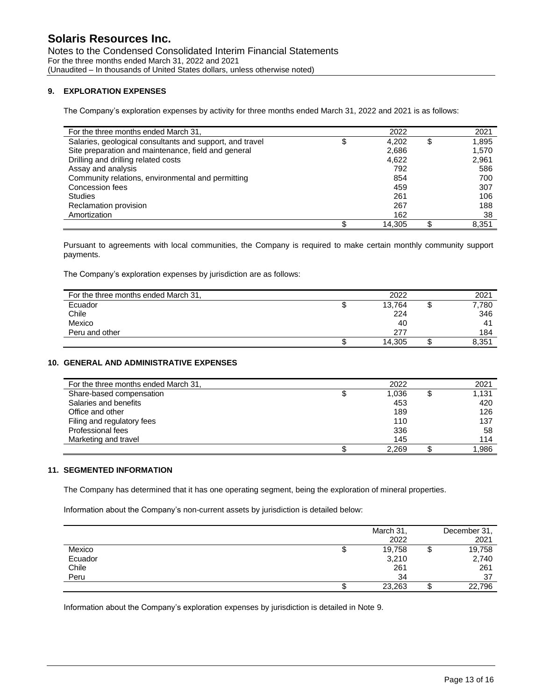### **9. EXPLORATION EXPENSES**

The Company's exploration expenses by activity for three months ended March 31, 2022 and 2021 is as follows:

| For the three months ended March 31,                     | 2022         |   | 2021  |
|----------------------------------------------------------|--------------|---|-------|
| Salaries, geological consultants and support, and travel | 4.202        | S | 1,895 |
| Site preparation and maintenance, field and general      | 2,686        |   | 1,570 |
| Drilling and drilling related costs                      | 4,622        |   | 2,961 |
| Assay and analysis                                       | 792          |   | 586   |
| Community relations, environmental and permitting        | 854          |   | 700   |
| Concession fees                                          | 459          |   | 307   |
| <b>Studies</b>                                           | 261          |   | 106   |
| Reclamation provision                                    | 267          |   | 188   |
| Amortization                                             | 162          |   | 38    |
|                                                          | \$<br>14.305 |   | 8.351 |

Pursuant to agreements with local communities, the Company is required to make certain monthly community support payments.

The Company's exploration expenses by jurisdiction are as follows:

| For the three months ended March 31, |   | 2022   |     | 2021           |
|--------------------------------------|---|--------|-----|----------------|
| Ecuador                              | Ψ | 13,764 | ιIJ | 7,780          |
| Chile                                |   | 224    |     | 346            |
| Mexico                               |   | 40     |     | 4 <sup>1</sup> |
| Peru and other                       |   | 277    |     | 184            |
|                                      |   | 14,305 |     | 8,351          |

## **10. GENERAL AND ADMINISTRATIVE EXPENSES**

| For the three months ended March 31, |   | 2022  | 2021  |
|--------------------------------------|---|-------|-------|
| Share-based compensation             | J | 1,036 | 1,131 |
| Salaries and benefits                |   | 453   | 420   |
| Office and other                     |   | 189   | 126   |
| Filing and regulatory fees           |   | 110   | 137   |
| Professional fees                    |   | 336   | 58    |
| Marketing and travel                 |   | 145   | 114   |
|                                      |   | 2,269 | 1,986 |

# **11. SEGMENTED INFORMATION**

The Company has determined that it has one operating segment, being the exploration of mineral properties.

Information about the Company's non-current assets by jurisdiction is detailed below:

|         |   | March 31, |   | December 31, |
|---------|---|-----------|---|--------------|
|         |   | 2022      |   | 2021         |
| Mexico  | Φ | 19,758    | Φ | 19,758       |
| Ecuador |   | 3,210     |   | 2,740        |
| Chile   |   | 261       |   | 261          |
| Peru    |   | 34        |   | 37           |
|         | Φ | 23,263    |   | 22,796       |

Information about the Company's exploration expenses by jurisdiction is detailed in Note 9.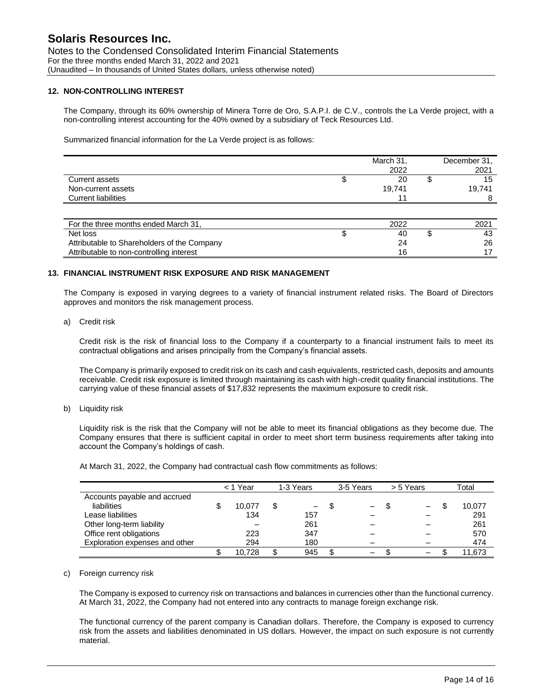### **12. NON-CONTROLLING INTEREST**

The Company, through its 60% ownership of Minera Torre de Oro, S.A.P.I. de C.V., controls the La Verde project, with a non-controlling interest accounting for the 40% owned by a subsidiary of Teck Resources Ltd.

Summarized financial information for the La Verde project is as follows:

|                                             | March 31, | December 31. |
|---------------------------------------------|-----------|--------------|
|                                             | 2022      | 2021         |
| Current assets                              | 20        | 15           |
| Non-current assets                          | 19,741    | 19,741       |
| <b>Current liabilities</b>                  | 11        |              |
|                                             |           |              |
| For the three months ended March 31,        | 2022      | 2021         |
| Net loss                                    | 40        | 43           |
| Attributable to Shareholders of the Company | 24        | 26           |
| Attributable to non-controlling interest    | 16        | 17           |

### **13. FINANCIAL INSTRUMENT RISK EXPOSURE AND RISK MANAGEMENT**

The Company is exposed in varying degrees to a variety of financial instrument related risks. The Board of Directors approves and monitors the risk management process.

a) Credit risk

Credit risk is the risk of financial loss to the Company if a counterparty to a financial instrument fails to meet its contractual obligations and arises principally from the Company's financial assets.

The Company is primarily exposed to credit risk on its cash and cash equivalents, restricted cash, deposits and amounts receivable. Credit risk exposure is limited through maintaining its cash with high-credit quality financial institutions. The carrying value of these financial assets of \$17,832 represents the maximum exposure to credit risk.

b) Liquidity risk

Liquidity risk is the risk that the Company will not be able to meet its financial obligations as they become due. The Company ensures that there is sufficient capital in order to meet short term business requirements after taking into account the Company's holdings of cash.

At March 31, 2022, the Company had contractual cash flow commitments as follows:

|                                | < 1 Year |    | 1-3 Years         | 3-5 Years         | > 5 Years         | Total  |
|--------------------------------|----------|----|-------------------|-------------------|-------------------|--------|
| Accounts payable and accrued   |          |    |                   |                   |                   |        |
| liabilities                    | 10.077   | S  | $\qquad \qquad -$ | $\qquad \qquad -$ | $\qquad \qquad -$ | 10,077 |
| Lease liabilities              | 134      |    | 157               |                   |                   | 291    |
| Other long-term liability      |          |    | 261               |                   |                   | 261    |
| Office rent obligations        | 223      |    | 347               |                   |                   | 570    |
| Exploration expenses and other | 294      |    | 180               |                   |                   | 474    |
|                                | 10.728   | \$ | 945               | $\qquad \qquad -$ | $\qquad \qquad$   | 11,673 |

#### c) Foreign currency risk

The Company is exposed to currency risk on transactions and balances in currencies other than the functional currency. At March 31, 2022, the Company had not entered into any contracts to manage foreign exchange risk.

The functional currency of the parent company is Canadian dollars. Therefore, the Company is exposed to currency risk from the assets and liabilities denominated in US dollars. However, the impact on such exposure is not currently material.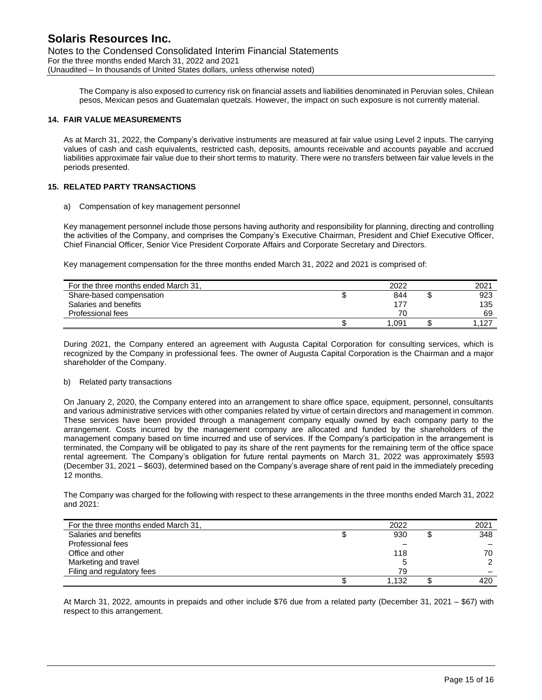The Company is also exposed to currency risk on financial assets and liabilities denominated in Peruvian soles, Chilean pesos, Mexican pesos and Guatemalan quetzals. However, the impact on such exposure is not currently material.

### **14. FAIR VALUE MEASUREMENTS**

As at March 31, 2022, the Company's derivative instruments are measured at fair value using Level 2 inputs. The carrying values of cash and cash equivalents, restricted cash, deposits, amounts receivable and accounts payable and accrued liabilities approximate fair value due to their short terms to maturity. There were no transfers between fair value levels in the periods presented.

### **15. RELATED PARTY TRANSACTIONS**

a) Compensation of key management personnel

Key management personnel include those persons having authority and responsibility for planning, directing and controlling the activities of the Company, and comprises the Company's Executive Chairman, President and Chief Executive Officer, Chief Financial Officer, Senior Vice President Corporate Affairs and Corporate Secretary and Directors.

Key management compensation for the three months ended March 31, 2022 and 2021 is comprised of:

| For the three months ended March 31, | 2022 | 2021 |
|--------------------------------------|------|------|
| Share-based compensation             | 844  | 923  |
| Salaries and benefits                | 177  | 135  |
| Professional fees                    | 70   | 69   |
|                                      | .091 | .127 |

During 2021, the Company entered an agreement with Augusta Capital Corporation for consulting services, which is recognized by the Company in professional fees. The owner of Augusta Capital Corporation is the Chairman and a major shareholder of the Company.

#### b) Related party transactions

On January 2, 2020, the Company entered into an arrangement to share office space, equipment, personnel, consultants and various administrative services with other companies related by virtue of certain directors and management in common. These services have been provided through a management company equally owned by each company party to the arrangement. Costs incurred by the management company are allocated and funded by the shareholders of the management company based on time incurred and use of services. If the Company's participation in the arrangement is terminated, the Company will be obligated to pay its share of the rent payments for the remaining term of the office space rental agreement. The Company's obligation for future rental payments on March 31, 2022 was approximately \$593 (December 31, 2021 – \$603), determined based on the Company's average share of rent paid in the immediately preceding 12 months.

The Company was charged for the following with respect to these arrangements in the three months ended March 31, 2022 and 2021:

| For the three months ended March 31, | 2022  | 2021 |
|--------------------------------------|-------|------|
| Salaries and benefits                | 930   | 348  |
| Professional fees                    |       |      |
| Office and other                     | 118   | 70   |
| Marketing and travel                 |       | ົ    |
| Filing and regulatory fees           | 79    |      |
|                                      | 1.132 | 420  |

At March 31, 2022, amounts in prepaids and other include \$76 due from a related party (December 31, 2021 – \$67) with respect to this arrangement.